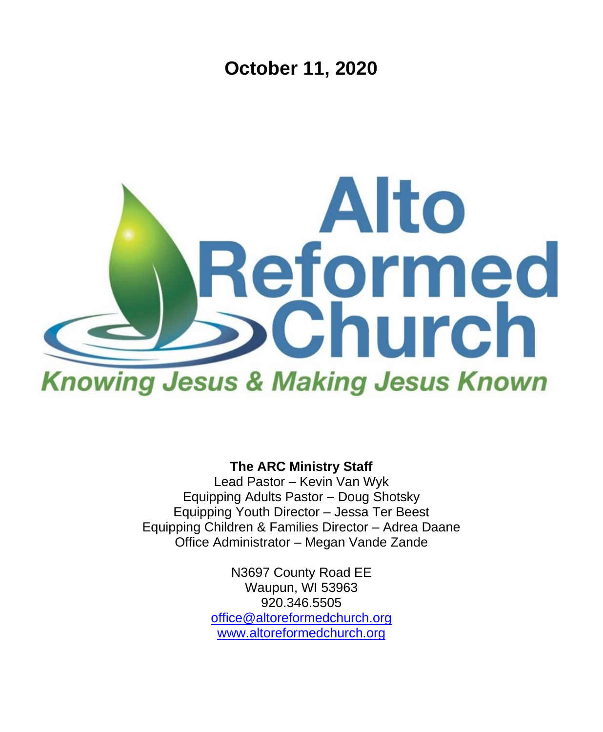**October 11, 2020**



**The ARC Ministry Staff**

Lead Pastor – Kevin Van Wyk Equipping Adults Pastor – Doug Shotsky Equipping Youth Director – Jessa Ter Beest Equipping Children & Families Director – Adrea Daane Office Administrator – Megan Vande Zande

> N3697 County Road EE Waupun, WI 53963 920.346.5505 [office@altoreformedchurch.org](mailto:office@altoreformedchurch.org) [www.altoreformedchurch.org](http://www.altoreformedchurch.org/)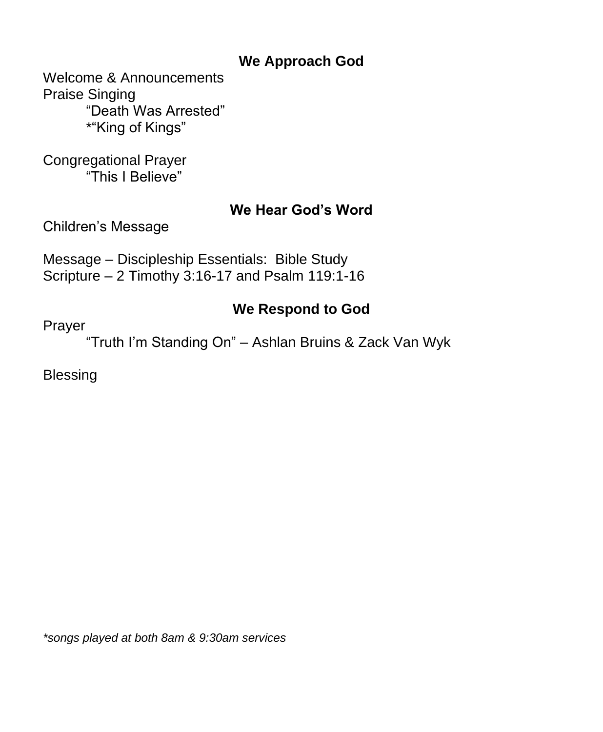## **We Approach God**

Welcome & Announcements Praise Singing "Death Was Arrested" \*"King of Kings"

Congregational Prayer "This I Believe"

### **We Hear God's Word**

Children's Message

Message – Discipleship Essentials: Bible Study Scripture – 2 Timothy 3:16-17 and Psalm 119:1-16

## **We Respond to God**

Prayer

"Truth I'm Standing On" – Ashlan Bruins & Zack Van Wyk

**Blessing** 

*\*songs played at both 8am & 9:30am services*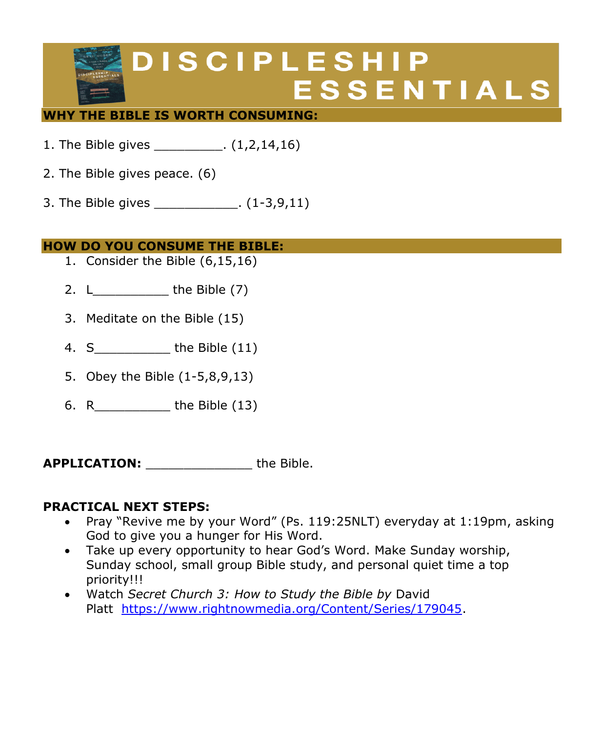# **DISCIPLESHIP ESSENTIALS**

#### **WHY THE BIBLE IS WORTH CONSUMING:**

- 1. The Bible gives \_\_\_\_\_\_\_\_\_. (1,2,14,16)
- 2. The Bible gives peace. (6)
- 3. The Bible gives \_\_\_\_\_\_\_\_\_\_\_. (1-3,9,11)

#### **HOW DO YOU CONSUME THE BIBLE:**

- 1. Consider the Bible (6,15,16)
- 2.  $L$  the Bible  $(7)$
- 3. Meditate on the Bible (15)
- 4. S the Bible (11)
- 5. Obey the Bible (1-5,8,9,13)
- 6. R\_\_\_\_\_\_\_\_\_\_ the Bible (13)

**APPLICATION:** \_\_\_\_\_\_\_\_\_\_\_\_\_\_ the Bible.

#### **PRACTICAL NEXT STEPS:**

- Pray "Revive me by your Word" (Ps. 119:25NLT) everyday at 1:19pm, asking God to give you a hunger for His Word.
- Take up every opportunity to hear God's Word. Make Sunday worship, Sunday school, small group Bible study, and personal quiet time a top priority!!!
- Watch *Secret Church 3: How to Study the Bible by* David Platt [https://www.rightnowmedia.org/Content/Series/179045.](https://eur06.safelinks.protection.outlook.com/?url=https%3A%2F%2Fwww.rightnowmedia.org%2FContent%2FSeries%2F179045&data=02%7C01%7C%7C02744dbaef354cbf3fd308d86bcdf43b%7C84df9e7fe9f640afb435aaaaaaaaaaaa%7C1%7C0%7C637377879592226395&sdata=gIlVUX1OOhCYi1JCmAvjyOhWkW%2B5gCU%2FcGYPpJWjni0%3D&reserved=0)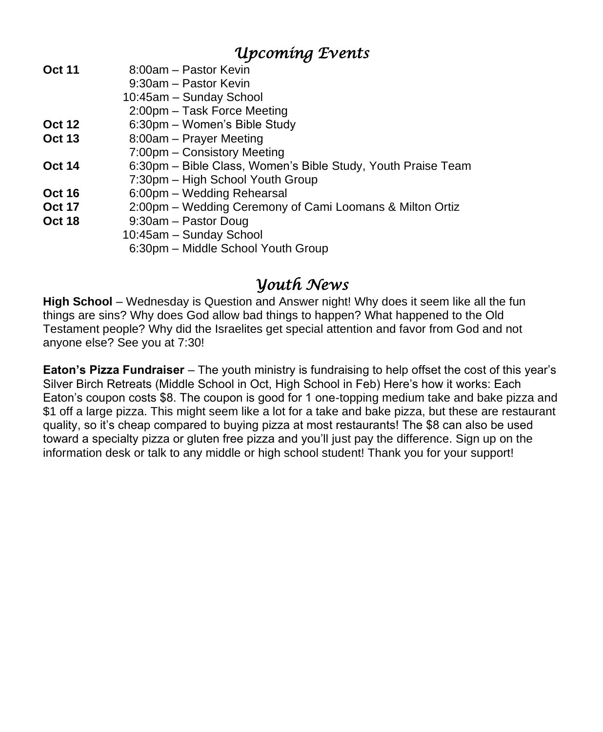# *Upcoming Events*

- **Oct 11** 8:00am Pastor Kevin
	- 9:30am Pastor Kevin
		- 10:45am Sunday School
	- 2:00pm Task Force Meeting
- **Oct 12** 6:30pm Women's Bible Study
- **Oct 13** 8:00am Prayer Meeting
- 7:00pm Consistory Meeting
- **Oct 14** 6:30pm Bible Class, Women's Bible Study, Youth Praise Team
- 7:30pm High School Youth Group
- **Oct 16** 6:00pm Wedding Rehearsal
- **Oct 17** 2:00pm Wedding Ceremony of Cami Loomans & Milton Ortiz
- **Oct 18** 9:30am Pastor Doug
	- 10:45am Sunday School
		- 6:30pm Middle School Youth Group

## *Youth News*

**High School** – Wednesday is Question and Answer night! Why does it seem like all the fun things are sins? Why does God allow bad things to happen? What happened to the Old Testament people? Why did the Israelites get special attention and favor from God and not anyone else? See you at 7:30!

**Eaton's Pizza Fundraiser** – The youth ministry is fundraising to help offset the cost of this year's Silver Birch Retreats (Middle School in Oct, High School in Feb) Here's how it works: Each Eaton's coupon costs \$8. The coupon is good for 1 one-topping medium take and bake pizza and \$1 off a large pizza. This might seem like a lot for a take and bake pizza, but these are restaurant quality, so it's cheap compared to buying pizza at most restaurants! The \$8 can also be used toward a specialty pizza or gluten free pizza and you'll just pay the difference. Sign up on the information desk or talk to any middle or high school student! Thank you for your support!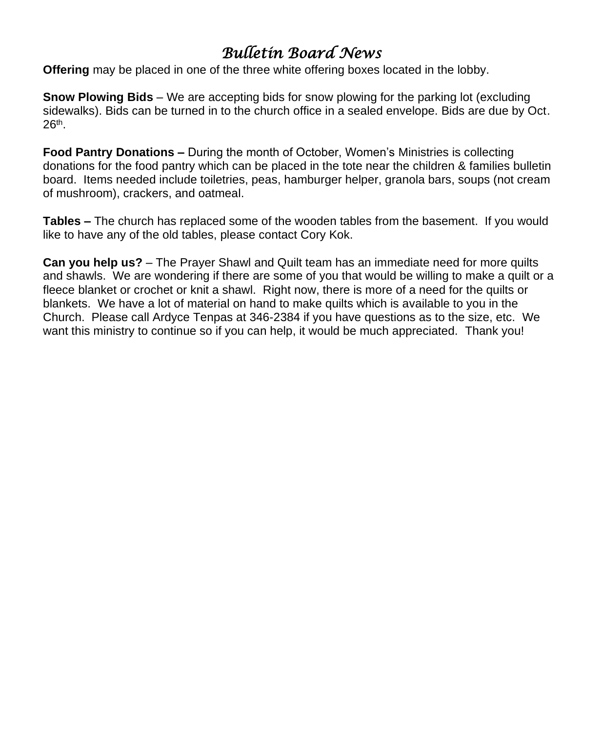# *Bulletin Board News*

**Offering** may be placed in one of the three white offering boxes located in the lobby.

**Snow Plowing Bids** – We are accepting bids for snow plowing for the parking lot (excluding sidewalks). Bids can be turned in to the church office in a sealed envelope. Bids are due by Oct. 26th .

**Food Pantry Donations –** During the month of October, Women's Ministries is collecting donations for the food pantry which can be placed in the tote near the children & families bulletin board. Items needed include toiletries, peas, hamburger helper, granola bars, soups (not cream of mushroom), crackers, and oatmeal.

**Tables –** The church has replaced some of the wooden tables from the basement. If you would like to have any of the old tables, please contact Cory Kok.

**Can you help us?** – The Prayer Shawl and Quilt team has an immediate need for more quilts and shawls. We are wondering if there are some of you that would be willing to make a quilt or a fleece blanket or crochet or knit a shawl. Right now, there is more of a need for the quilts or blankets. We have a lot of material on hand to make quilts which is available to you in the Church. Please call Ardyce Tenpas at 346-2384 if you have questions as to the size, etc. We want this ministry to continue so if you can help, it would be much appreciated. Thank you!